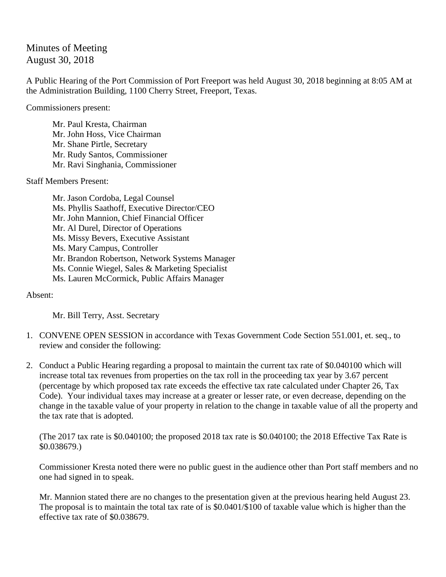## Minutes of Meeting August 30, 2018

A Public Hearing of the Port Commission of Port Freeport was held August 30, 2018 beginning at 8:05 AM at the Administration Building, 1100 Cherry Street, Freeport, Texas.

Commissioners present:

Mr. Paul Kresta, Chairman Mr. John Hoss, Vice Chairman Mr. Shane Pirtle, Secretary Mr. Rudy Santos, Commissioner Mr. Ravi Singhania, Commissioner

Staff Members Present:

Mr. Jason Cordoba, Legal Counsel Ms. Phyllis Saathoff, Executive Director/CEO Mr. John Mannion, Chief Financial Officer Mr. Al Durel, Director of Operations Ms. Missy Bevers, Executive Assistant Ms. Mary Campus, Controller Mr. Brandon Robertson, Network Systems Manager Ms. Connie Wiegel, Sales & Marketing Specialist Ms. Lauren McCormick, Public Affairs Manager

Absent:

Mr. Bill Terry, Asst. Secretary

- 1. CONVENE OPEN SESSION in accordance with Texas Government Code Section 551.001, et. seq., to review and consider the following:
- 2. Conduct a Public Hearing regarding a proposal to maintain the current tax rate of \$0.040100 which will increase total tax revenues from properties on the tax roll in the proceeding tax year by 3.67 percent (percentage by which proposed tax rate exceeds the effective tax rate calculated under Chapter 26, Tax Code). Your individual taxes may increase at a greater or lesser rate, or even decrease, depending on the change in the taxable value of your property in relation to the change in taxable value of all the property and the tax rate that is adopted.

(The 2017 tax rate is \$0.040100; the proposed 2018 tax rate is \$0.040100; the 2018 Effective Tax Rate is \$0.038679.)

Commissioner Kresta noted there were no public guest in the audience other than Port staff members and no one had signed in to speak.

Mr. Mannion stated there are no changes to the presentation given at the previous hearing held August 23. The proposal is to maintain the total tax rate of is \$0.0401/\$100 of taxable value which is higher than the effective tax rate of \$0.038679.